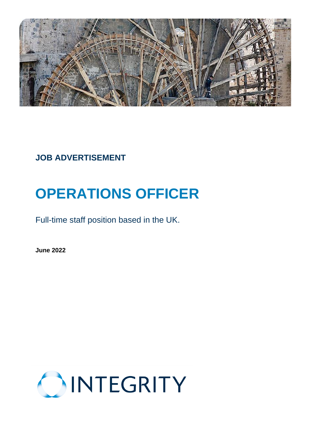

**JOB ADVERTISEMENT**

# **OPERATIONS OFFICER**

Full-time staff position based in the UK.

**June 2022**

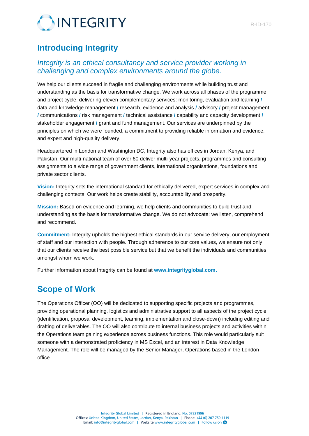

## **Introducing Integrity**

### *Integrity is an ethical consultancy and service provider working in challenging and complex environments around the globe.*

We help our clients succeed in fragile and challenging environments while building trust and understanding as the basis for transformative change. We work across all phases of the programme and project cycle, delivering eleven complementary services: monitoring, evaluation and learning **/** data and knowledge management **/** research, evidence and analysis **/** advisory **/** project management **/** communications **/** risk management **/** technical assistance **/** capability and capacity development **/** stakeholder engagement **/** grant and fund management. Our services are underpinned by the principles on which we were founded, a commitment to providing reliable information and evidence, and expert and high-quality delivery.

Headquartered in London and Washington DC, Integrity also has offices in Jordan, Kenya, and Pakistan. Our multi-national team of over 60 deliver multi-year projects, programmes and consulting assignments to a wide range of government clients, international organisations, foundations and private sector clients.

**Vision:** Integrity sets the international standard for ethically delivered, expert services in complex and challenging contexts. Our work helps create stability, accountability and prosperity.

**Mission:** Based on evidence and learning, we help clients and communities to build trust and understanding as the basis for transformative change. We do not advocate: we listen, comprehend and recommend.

**Commitment:** Integrity upholds the highest ethical standards in our service delivery, our employment of staff and our interaction with people. Through adherence to our core values, we ensure not only that our clients receive the best possible service but that we benefit the individuals and communities amongst whom we work.

Further information about Integrity can be found at **[www.integrityglobal.com.](http://www.integrityglobal.com/)**

## **Scope of Work**

The Operations Officer (OO) will be dedicated to supporting specific projects and programmes, providing operational planning, logistics and administrative support to all aspects of the project cycle (identification, proposal development, teaming, implementation and close-down) including editing and drafting of deliverables. The OO will also contribute to internal business projects and activities within the Operations team gaining experience across business functions. This role would particularly suit someone with a demonstrated proficiency in MS Excel, and an interest in Data Knowledge Management. The role will be managed by the Senior Manager, Operations based in the London office.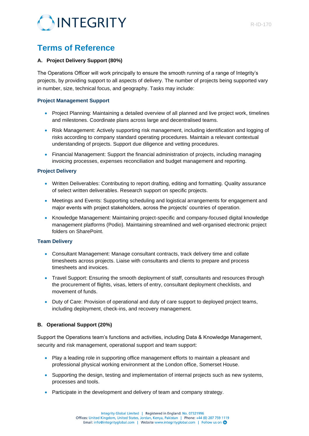

## **Terms of Reference**

#### **A. Project Delivery Support (80%)**

The Operations Officer will work principally to ensure the smooth running of a range of Integrity's projects, by providing support to all aspects of delivery. The number of projects being supported vary in number, size, technical focus, and geography. Tasks may include:

#### **Project Management Support**

- Project Planning: Maintaining a detailed overview of all planned and live project work, timelines and milestones. Coordinate plans across large and decentralised teams.
- Risk Management: Actively supporting risk management, including identification and logging of risks according to company standard operating procedures. Maintain a relevant contextual understanding of projects. Support due diligence and vetting procedures.
- Financial Management: Support the financial administration of projects, including managing invoicing processes, expenses reconciliation and budget management and reporting.

#### **Project Delivery**

- Written Deliverables: Contributing to report drafting, editing and formatting. Quality assurance of select written deliverables. Research support on specific projects.
- Meetings and Events: Supporting scheduling and logistical arrangements for engagement and major events with project stakeholders, across the projects' countries of operation.
- Knowledge Management: Maintaining project-specific and company-focused digital knowledge management platforms (Podio). Maintaining streamlined and well-organised electronic project folders on SharePoint.

#### **Team Delivery**

- Consultant Management: Manage consultant contracts, track delivery time and collate timesheets across projects. Liaise with consultants and clients to prepare and process timesheets and invoices.
- Travel Support: Ensuring the smooth deployment of staff, consultants and resources through the procurement of flights, visas, letters of entry, consultant deployment checklists, and movement of funds.
- Duty of Care: Provision of operational and duty of care support to deployed project teams, including deployment, check-ins, and recovery management.

#### **B. Operational Support (20%)**

Support the Operations team's functions and activities, including Data & Knowledge Management, security and risk management, operational support and team support:

- Play a leading role in supporting office management efforts to maintain a pleasant and professional physical working environment at the London office, Somerset House.
- Supporting the design, testing and implementation of internal projects such as new systems, processes and tools.
- Participate in the development and delivery of team and company strategy.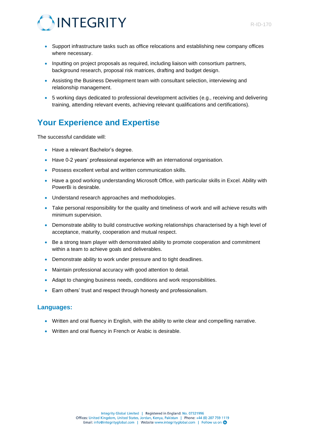

- Support infrastructure tasks such as office relocations and establishing new company offices where necessary.
- Inputting on project proposals as required, including liaison with consortium partners, background research, proposal risk matrices, drafting and budget design.
- Assisting the Business Development team with consultant selection, interviewing and relationship management.
- 5 working days dedicated to professional development activities (e.g., receiving and delivering training, attending relevant events, achieving relevant qualifications and certifications).

## **Your Experience and Expertise**

The successful candidate will:

- Have a relevant Bachelor's degree.
- Have 0-2 years' professional experience with an international organisation.
- Possess excellent verbal and written communication skills.
- Have a good working understanding Microsoft Office, with particular skills in Excel. Ability with PowerBi is desirable.
- Understand research approaches and methodologies.
- Take personal responsibility for the quality and timeliness of work and will achieve results with minimum supervision.
- Demonstrate ability to build constructive working relationships characterised by a high level of acceptance, maturity, cooperation and mutual respect.
- Be a strong team player with demonstrated ability to promote cooperation and commitment within a team to achieve goals and deliverables.
- Demonstrate ability to work under pressure and to tight deadlines.
- Maintain professional accuracy with good attention to detail.
- Adapt to changing business needs, conditions and work responsibilities.
- Earn others' trust and respect through honesty and professionalism.

#### **Languages:**

- Written and oral fluency in English, with the ability to write clear and compelling narrative.
- Written and oral fluency in French or Arabic is desirable.